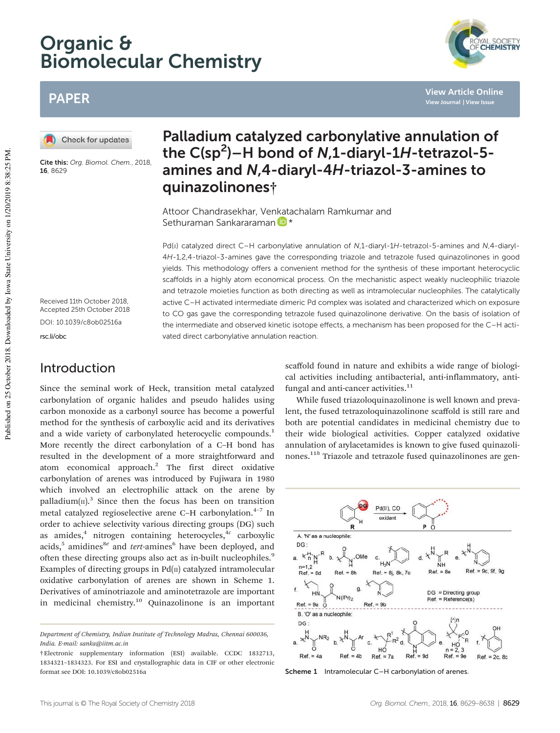# Organic & Biomolecular Chemistry



**View Article Online View Journal | View Issue**

## PAPER

Check for updates

Cite this: Org. Biomol. Chem., 2018, 16, 8629

## Palladium catalyzed carbonylative annulation of the  $C(sp^2)$ -H bond of N,1-diaryl-1H-tetrazol-5amines and N,4-diaryl-4H-triazol-3-amines to quinazolinones†

Attoor Chandrasekhar, Venkatachalam Ramkumar and Sethuraman Sankararaman D \*

Pd(II) catalyzed direct C-H carbonylative annulation of N,1-diaryl-1H-tetrazol-5-amines and N,4-diaryl-4H-1,2,4-triazol-3-amines gave the corresponding triazole and tetrazole fused quinazolinones in good yields. This methodology offers a convenient method for the synthesis of these important heterocyclic scaffolds in a highly atom economical process. On the mechanistic aspect weakly nucleophilic triazole and tetrazole moieties function as both directing as well as intramolecular nucleophiles. The catalytically active C–H activated intermediate dimeric Pd complex was isolated and characterized which on exposure to CO gas gave the corresponding tetrazole fused quinazolinone derivative. On the basis of isolation of the intermediate and observed kinetic isotope effects, a mechanism has been proposed for the C–H activated direct carbonylative annulation reaction.

Received 11th October 2018, Accepted 25th October 2018 DOI: 10.1039/c8ob02516a

rsc.li/obc

## Introduction

Since the seminal work of Heck, transition metal catalyzed carbonylation of organic halides and pseudo halides using carbon monoxide as a carbonyl source has become a powerful method for the synthesis of carboxylic acid and its derivatives and a wide variety of carbonylated heterocyclic compounds.<sup>1</sup> More recently the direct carbonylation of a C–H bond has resulted in the development of a more straightforward and atom economical approach.<sup>2</sup> The first direct oxidative carbonylation of arenes was introduced by Fujiwara in 1980 which involved an electrophilic attack on the arene by palladium $(\text{II})$ .<sup>3</sup> Since then the focus has been on transition metal catalyzed regioselective arene C-H carbonylation.<sup>4-7</sup> In order to achieve selectivity various directing groups (DG) such as amides,<sup>4</sup> nitrogen containing heterocycles,<sup>4c</sup> carboxylic acids,<sup>5</sup> amidines<sup>8e</sup> and *tert*-amines<sup>6</sup> have been deployed, and often these directing groups also act as in-built nucleophiles.<sup>9</sup> Examples of directing groups in  $Pd(\Pi)$  catalyzed intramolecular oxidative carbonylation of arenes are shown in Scheme 1. Derivatives of aminotriazole and aminotetrazole are important in medicinal chemistry.<sup>10</sup> Quinazolinone is an important scaffold found in nature and exhibits a wide range of biological activities including antibacterial, anti-inflammatory, antifungal and anti-cancer activities.<sup>11</sup>

While fused triazoloquinazolinone is well known and prevalent, the fused tetrazoloquinazolinone scaffold is still rare and both are potential candidates in medicinal chemistry due to their wide biological activities. Copper catalyzed oxidative annulation of arylacetamides is known to give fused quinazolinones.11*<sup>h</sup>* Triazole and tetrazole fused quinazolinones are gen-



Scheme 1 Intramolecular C-H carbonylation of arenes.

*Department of Chemistry, Indian Institute of Technology Madras, Chennai 600036, India. E-mail: sanka@iitm.ac.in*

<sup>†</sup>Electronic supplementary information (ESI) available. CCDC 1832713, 1834321–1834323. For ESI and crystallographic data in CIF or other electronic format see DOI: 10.1039/c8ob02516a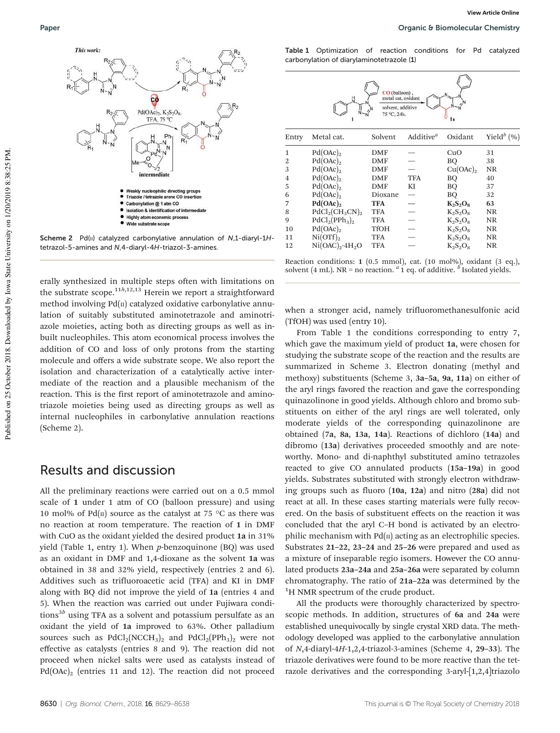

Scheme 2  $Pd(II)$  catalyzed carbonylative annulation of  $N$ ,1-diaryl-1Htetrazol-5-amines and N,4-diaryl-4H-triazol-3-amines.

erally synthesized in multiple steps often with limitations on the substrate scope.<sup>11*h*,12,13</sup> Herein we report a straightforward method involving  $Pd(\pi)$  catalyzed oxidative carbonylative annulation of suitably substituted aminotetrazole and aminotriazole moieties, acting both as directing groups as well as inbuilt nucleophiles. This atom economical process involves the addition of CO and loss of only protons from the starting molecule and offers a wide substrate scope. We also report the isolation and characterization of a catalytically active intermediate of the reaction and a plausible mechanism of the reaction. This is the first report of aminotetrazole and aminotriazole moieties being used as directing groups as well as internal nucleophiles in carbonylative annulation reactions (Scheme 2).

### Results and discussion

All the preliminary reactions were carried out on a 0.5 mmol scale of 1 under 1 atm of CO (balloon pressure) and using 10 mol% of Pd( $\text{II}$ ) source as the catalyst at 75 °C as there was no reaction at room temperature. The reaction of 1 in DMF with CuO as the oxidant yielded the desired product 1a in 31% yield (Table 1, entry 1). When *p*-benzoquinone (BQ) was used as an oxidant in DMF and 1,4-dioxane as the solvent 1a was obtained in 38 and 32% yield, respectively (entries 2 and 6). Additives such as trifluoroacetic acid (TFA) and KI in DMF along with BQ did not improve the yield of 1a (entries 4 and 5). When the reaction was carried out under Fujiwara conditions3*<sup>b</sup>* using TFA as a solvent and potassium persulfate as an oxidant the yield of 1a improved to 63%. Other palladium sources such as  $PdCl_2(NCCH_3)_2$  and  $PdCl_2(PPh_3)_2$  were not effective as catalysts (entries 8 and 9). The reaction did not proceed when nickel salts were used as catalysts instead of  $Pd(OAc)_2$  (entries 11 and 12). The reaction did not proceed

Table 1 Optimization of reaction conditions for Pd catalyzed carbonylation of diarylaminotetrazole (1)





when a stronger acid, namely trifluoromethanesulfonic acid (TfOH) was used (entry 10).

From Table 1 the conditions corresponding to entry 7, which gave the maximum yield of product 1a, were chosen for studying the substrate scope of the reaction and the results are summarized in Scheme 3. Electron donating (methyl and methoxy) substituents (Scheme 3, 3a–5a, 9a, 11a) on either of the aryl rings favored the reaction and gave the corresponding quinazolinone in good yields. Although chloro and bromo substituents on either of the aryl rings are well tolerated, only moderate yields of the corresponding quinazolinone are obtained (7a, 8a, 13a, 14a). Reactions of dichloro (14a) and dibromo (13a) derivatives proceeded smoothly and are noteworthy. Mono- and di-naphthyl substituted amino tetrazoles reacted to give CO annulated products (15a–19a) in good yields. Substrates substituted with strongly electron withdrawing groups such as fluoro (10a, 12a) and nitro (28a) did not react at all. In these cases starting materials were fully recovered. On the basis of substituent effects on the reaction it was concluded that the aryl C–H bond is activated by an electrophilic mechanism with  $Pd(n)$  acting as an electrophilic species. Substrates 21–22, 23–24 and 25–26 were prepared and used as a mixture of inseparable regio isomers. However the CO annulated products 23a–24a and 25a–26a were separated by column chromatography. The ratio of 21a–22a was determined by the  ${}^{1}$ H NMR spectrum of the crude product.

All the products were thoroughly characterized by spectroscopic methods. In addition, structures of 6a and 24a were established unequivocally by single crystal XRD data. The methodology developed was applied to the carbonylative annulation of *N*,4-diaryl-4*H*-1,2,4-triazol-3-amines (Scheme 4, 29–33). The triazole derivatives were found to be more reactive than the tetrazole derivatives and the corresponding 3-aryl-[1,2,4]triazolo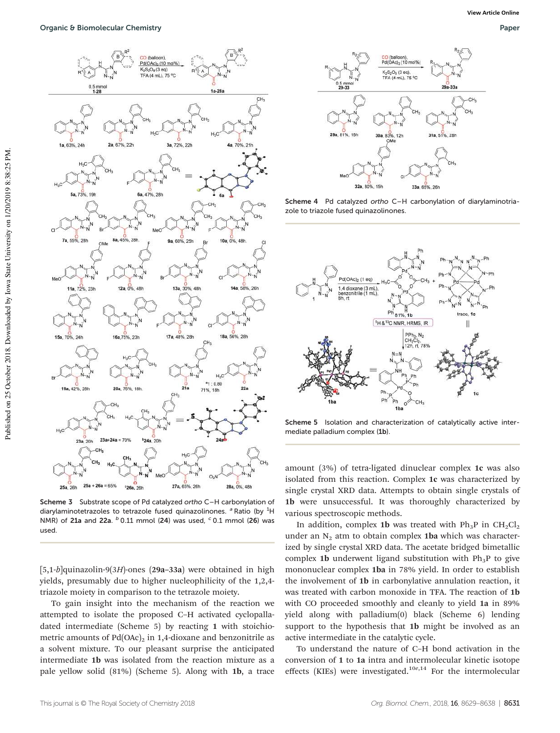

Scheme 3 Substrate scope of Pd catalyzed ortho C–H carbonylation of diarylaminotetrazoles to tetrazole fused quinazolinones.  $a^a$  Ratio (by  ${}^{1}$ H NMR) of 21a and 22a.  $^b$  0.11 mmol (24) was used,  $^c$  0.1 mmol (26) was used.

[5,1-*b*]quinazolin-9(3*H*)-ones (29a–33a) were obtained in high yields, presumably due to higher nucleophilicity of the 1,2,4 triazole moiety in comparison to the tetrazole moiety.

To gain insight into the mechanism of the reaction we attempted to isolate the proposed C–H activated cyclopalladated intermediate (Scheme 5) by reacting 1 with stoichiometric amounts of  $Pd(OAc)<sub>2</sub>$  in 1,4-dioxane and benzonitrile as a solvent mixture. To our pleasant surprise the anticipated intermediate 1b was isolated from the reaction mixture as a pale yellow solid (81%) (Scheme 5). Along with 1b, a trace



Scheme 4 Pd catalyzed ortho C–H carbonylation of diarylaminotriazole to triazole fused quinazolinones.



Scheme 5 Isolation and characterization of catalytically active intermediate palladium complex (1b).

amount (3%) of tetra-ligated dinuclear complex 1c was also isolated from this reaction. Complex 1c was characterized by single crystal XRD data. Attempts to obtain single crystals of 1b were unsuccessful. It was thoroughly characterized by various spectroscopic methods.

In addition, complex 1b was treated with  $Ph_3P$  in  $CH_2Cl_2$ under an  $N_2$  atm to obtain complex 1ba which was characterized by single crystal XRD data. The acetate bridged bimetallic complex 1b underwent ligand substitution with  $Ph_3P$  to give mononuclear complex 1ba in 78% yield. In order to establish the involvement of 1b in carbonylative annulation reaction, it was treated with carbon monoxide in TFA. The reaction of 1b with CO proceeded smoothly and cleanly to yield 1a in 89% yield along with palladium(0) black (Scheme 6) lending support to the hypothesis that 1b might be involved as an active intermediate in the catalytic cycle.

To understand the nature of C–H bond activation in the conversion of 1 to 1a intra and intermolecular kinetic isotope effects (KIEs) were investigated.<sup>10e,14</sup> For the intermolecular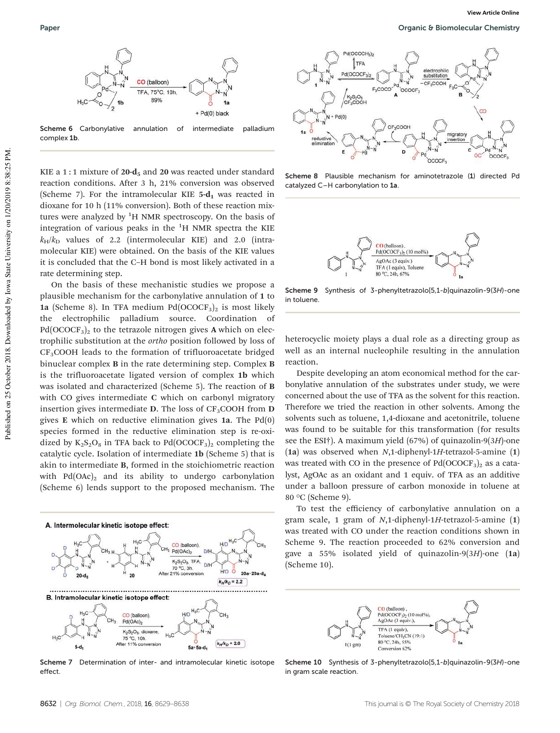

Scheme 6 Carbonylative annulation of intermediate palladium complex 1b.

KIE a 1 : 1 mixture of  $20$ -d<sub>5</sub> and  $20$  was reacted under standard reaction conditions. After 3 h, 21% conversion was observed (Scheme 7). For the intramolecular KIE  $5-d_1$  was reacted in dioxane for 10 h (11% conversion). Both of these reaction mixtures were analyzed by  ${}^{1}H$  NMR spectroscopy. On the basis of integration of various peaks in the  ${}^{1}$ H NMR spectra the KIE  $k_H/k_D$  values of 2.2 (intermolecular KIE) and 2.0 (intramolecular KIE) were obtained. On the basis of the KIE values it is concluded that the C–H bond is most likely activated in a rate determining step.

On the basis of these mechanistic studies we propose a plausible mechanism for the carbonylative annulation of 1 to 1a (Scheme 8). In TFA medium  $Pd(OCOCF_3)_2$  is most likely the electrophilic palladium source. Coordination of  $Pd(OCOCF<sub>3</sub>)<sub>2</sub>$  to the tetrazole nitrogen gives A which on electrophilic substitution at the *ortho* position followed by loss of  $CF<sub>3</sub>COOH$  leads to the formation of trifluoroacetate bridged binuclear complex B in the rate determining step. Complex B is the trifluoroacetate ligated version of complex 1b which was isolated and characterized (Scheme 5). The reaction of B with CO gives intermediate C which on carbonyl migratory insertion gives intermediate  $D$ . The loss of CF<sub>3</sub>COOH from  $D$ gives E which on reductive elimination gives 1a. The Pd(0) species formed in the reductive elimination step is re-oxidized by  $K_2S_2O_8$  in TFA back to Pd(OCOCF<sub>3</sub>)<sub>2</sub> completing the catalytic cycle. Isolation of intermediate 1b (Scheme 5) that is akin to intermediate B, formed in the stoichiometric reaction with  $Pd(OAc)_2$  and its ability to undergo carbonylation (Scheme 6) lends support to the proposed mechanism. The



Scheme 7 Determination of inter- and intramolecular kinetic isotope effect.



Scheme 8 Plausible mechanism for aminotetrazole (1) directed Pd catalyzed C–H carbonylation to 1a.



Scheme 9 Synthesis of 3-phenyltetrazolo<sup>[5,1-b]quinazolin-9(3H)-one</sup> in toluene.

heterocyclic moiety plays a dual role as a directing group as well as an internal nucleophile resulting in the annulation reaction.

Despite developing an atom economical method for the carbonylative annulation of the substrates under study, we were concerned about the use of TFA as the solvent for this reaction. Therefore we tried the reaction in other solvents. Among the solvents such as toluene, 1,4-dioxane and acetonitrile, toluene was found to be suitable for this transformation (for results see the ESI†). A maximum yield (67%) of quinazolin-9(3*H*)-one (1a) was observed when *N*,1-diphenyl-1*H*-tetrazol-5-amine (1) was treated with CO in the presence of  $Pd(OCOCF<sub>3</sub>)<sub>2</sub>$  as a catalyst, AgOAc as an oxidant and 1 equiv. of TFA as an additive under a balloon pressure of carbon monoxide in toluene at 80 °C (Scheme 9).

To test the efficiency of carbonylative annulation on a gram scale, 1 gram of *N*,1-diphenyl-1*H*-tetrazol-5-amine (1) was treated with CO under the reaction conditions shown in Scheme 9. The reaction proceeded to 62% conversion and gave a 55% isolated yield of quinazolin-9(3*H*)-one (1a) (Scheme 10).



Scheme 10 Synthesis of 3-phenyltetrazolo[5,1-b]quinazolin-9(3H)-one in gram scale reaction.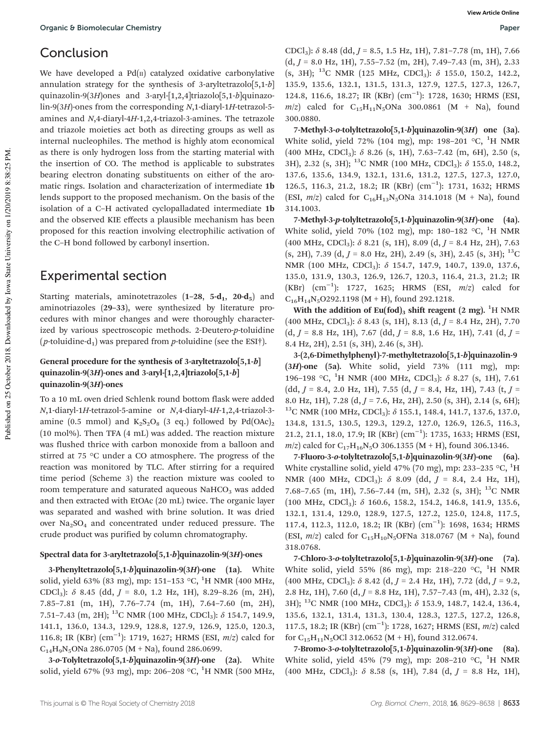## Conclusion

We have developed a  $Pd(n)$  catalyzed oxidative carbonylative annulation strategy for the synthesis of 3-aryltetrazolo[5,1-*b*] quinazolin-9(3*H*)ones and 3-aryl-[1,2,4]triazolo[5,1-*b*]quinazolin-9(3*H*)-ones from the corresponding *N*,1-diaryl-1*H*-tetrazol-5 amines and *N*,4-diaryl-4*H*-1,2,4-triazol-3-amines. The tetrazole and triazole moieties act both as directing groups as well as internal nucleophiles. The method is highly atom economical as there is only hydrogen loss from the starting material with the insertion of CO. The method is applicable to substrates bearing electron donating substituents on either of the aromatic rings. Isolation and characterization of intermediate 1b lends support to the proposed mechanism. On the basis of the isolation of a C–H activated cyclopalladated intermediate 1b and the observed KIE effects a plausible mechanism has been proposed for this reaction involving electrophilic activation of the C–H bond followed by carbonyl insertion.

## Experimental section

Starting materials, aminotetrazoles  $(1-28, 5-d_1, 20-d_5)$  and aminotriazoles (29–33), were synthesized by literature procedures with minor changes and were thoroughly characterized by various spectroscopic methods. 2-Deutero-*p*-toluidine (*p*-toluidine-d<sub>1</sub>) was prepared from *p*-toluidine (see the ESI<sup>†</sup>).

### General procedure for the synthesis of 3-aryltetrazolo[5,1-b] quinazolin-9(3H)-ones and 3-aryl- $[1,2,4]$ triazolo $[5,1-b]$ quinazolin-9(3H)-ones

To a 10 mL oven dried Schlenk round bottom flask were added *N*,1-diaryl-1*H*-tetrazol-5-amine or *N*,4-diaryl-4*H*-1,2,4-triazol-3 amine (0.5 mmol) and  $K_2S_2O_8$  (3 eq.) followed by Pd(OAc)<sub>2</sub> (10 mol%). Then TFA (4 mL) was added. The reaction mixture was flushed thrice with carbon monoxide from a balloon and stirred at 75 °C under a CO atmosphere. The progress of the reaction was monitored by TLC. After stirring for a required time period (Scheme 3) the reaction mixture was cooled to room temperature and saturated aqueous NaHCO<sub>3</sub> was added and then extracted with EtOAc (20 mL) twice. The organic layer was separated and washed with brine solution. It was dried over  $Na<sub>2</sub>SO<sub>4</sub>$  and concentrated under reduced pressure. The crude product was purified by column chromatography.

### Spectral data for 3-aryltetrazolo[5,1-b]quinazolin-9(3H)-ones

3-Phenyltetrazolo $[5,1-b]$ quinazolin-9 $(3H)$ -one (1a). White solid, yield 63% (83 mg), mp: 151-153 °C, <sup>1</sup>H NMR (400 MHz, CDCl3): δ 8.45 (dd, *J* = 8.0, 1.2 Hz, 1H), 8.29–8.26 (m, 2H), 7.85–7.81 (m, 1H), 7.76–7.74 (m, 1H), 7.64–7.60 (m, 2H), 7.51–7.43 (m, 2H); <sup>13</sup>C NMR (100 MHz, CDCl<sub>3</sub>):  $\delta$  154.7, 149.9, 141.1, 136.0, 134.3, 129.9, 128.8, 127.9, 126.9, 125.0, 120.3, 116.8; IR (KBr) (cm−<sup>1</sup> ): 1719, 1627; HRMS (ESI, *m*/*z*) calcd for  $C_{14}H_9N_5ONa$  286.0705 (M + Na), found 286.0699.

3-o-Tolyltetrazolo[5,1-b]quinazolin-9(3H)-one (2a). White solid, yield 67% (93 mg), mp: 206–208 °C, <sup>1</sup>H NMR (500 MHz,

CDCl3): δ 8.48 (dd, *J* = 8.5, 1.5 Hz, 1H), 7.81–7.78 (m, 1H), 7.66 (d, *J* = 8.0 Hz, 1H), 7.55–7.52 (m, 2H), 7.49–7.43 (m, 3H), 2.33 (s, 3H); <sup>13</sup>C NMR (125 MHz, CDCl<sub>3</sub>):  $\delta$  155.0, 150.2, 142.2, 135.9, 135.6, 132.1, 131.5, 131.3, 127.9, 127.5, 127.3, 126.7, 124.8, 116.6, 18.27; IR (KBr) (cm−<sup>1</sup> ): 1728, 1630; HRMS (ESI,  $m/z$  calcd for  $C_{15}H_{11}N_5ONa$  300.0861 (M + Na), found 300.0880.

7-Methyl-3-o-tolyltetrazolo[5,1-b]quinazolin-9(3H) one (3a). White solid, yield 72% (104 mg), mp: 198-201  $\,^{\circ}$ C, <sup>1</sup>H NMR (400 MHz, CDCl<sub>3</sub>):  $\delta$  8.26 (s, 1H), 7.63-7.42 (m, 6H), 2.50 (s, 3H), 2.32 (s, 3H); <sup>13</sup>C NMR (100 MHz, CDCl<sub>3</sub>):  $\delta$  155.0, 148.2, 137.6, 135.6, 134.9, 132.1, 131.6, 131.2, 127.5, 127.3, 127.0, 126.5, 116.3, 21.2, 18.2; IR (KBr) (cm<sup>-1</sup>): 1731, 1632; HRMS (ESI,  $m/z$ ) calcd for C<sub>16</sub>H<sub>13</sub>N<sub>5</sub>ONa 314.1018 (M + Na), found 314.1003.

7-Methyl-3-p-tolyltetrazolo[5,1-b]quinazolin-9(3H)-one (4a). White solid, yield 70% (102 mg), mp: 180–182  $\,^{\circ}$ C, <sup>1</sup>H NMR (400 MHz, CDCl3): δ 8.21 (s, 1H), 8.09 (d, *J* = 8.4 Hz, 2H), 7.63  $(s, 2H)$ , 7.39 (d, *J* = 8.0 Hz, 2H), 2.49 (s, 3H), 2.45 (s, 3H); <sup>13</sup>C NMR (100 MHz, CDCl<sub>3</sub>): δ 154.7, 147.9, 140.7, 139.0, 137.6, 135.0, 131.9, 130.3, 126.9, 126.7, 120.3, 116.4, 21.3, 21.2; IR (KBr) (cm−<sup>1</sup> ): 1727, 1625; HRMS (ESI, *m*/*z*) calcd for  $C_{16}H_{14}N_5O292.1198 (M + H)$ , found 292.1218.

With the addition of Eu(fod)<sub>3</sub> shift reagent (2 mg). <sup>1</sup>H NMR (400 MHz, CDCl<sub>3</sub>):  $\delta$  8.43 (s, 1H), 8.13 (d,  $J = 8.4$  Hz, 2H), 7.70 (d, *J* = 8.8 Hz, 1H), 7.67 (dd, *J* = 8.8, 1.6 Hz, 1H), 7.41 (d, *J* = 8.4 Hz, 2H), 2.51 (s, 3H), 2.46 (s, 3H).

3-(2,6-Dimethylphenyl)-7-methyltetrazolo[5,1-b]quinazolin-9  $(3H)$ -one  $(5a)$ . White solid, yield 73%  $(111 \text{ mg})$ , mp: 196–198 °C, <sup>1</sup>H NMR (400 MHz, CDCl<sub>3</sub>):  $\delta$  8.27 (s, 1H), 7.61 (dd, *J* = 8.4, 2.0 Hz, 1H), 7.55 (d, *J* = 8.4, Hz, 1H), 7.43 (t, *J* = 8.0 Hz, 1H), 7.28 (d, *J* = 7.6, Hz, 2H), 2.50 (s, 3H), 2.14 (s, 6H);  $^{13}$ C NMR (100 MHz, CDCl<sub>3</sub>):  $\delta$  155.1, 148.4, 141.7, 137.6, 137.0, 134.8, 131.5, 130.5, 129.3, 129.2, 127.0, 126.9, 126.5, 116.3, 21.2, 21.1, 18.0, 17.9; IR (KBr) (cm−<sup>1</sup> ): 1735, 1633; HRMS (ESI,  $m/z$ ) calcd for C<sub>17</sub>H<sub>16</sub>N<sub>5</sub>O 306.1355 (M + H), found 306.1346.

7-Fluoro-3-o-tolyltetrazolo[5,1-b]quinazolin-9(3H)-one (6a). White crystalline solid, yield 47% (70 mg), mp: 233–235  $\rm{°C}$ ,  $\rm{^{1}H}$ NMR (400 MHz, CDCl3): δ 8.09 (dd, *J* = 8.4, 2.4 Hz, 1H), 7.68–7.65 (m, 1H), 7.56–7.44 (m, 5H), 2.32 (s, 3H); <sup>13</sup>C NMR (100 MHz, CDCl3): δ 160.6, 158.2, 154.2, 146.8, 141.9, 135.6, 132.1, 131.4, 129.0, 128.9, 127.5, 127.2, 125.0, 124.8, 117.5, 117.4, 112.3, 112.0, 18.2; IR (KBr) (cm<sup>-1</sup>): 1698, 1634; HRMS (ESI,  $m/z$ ) calcd for C<sub>15</sub>H<sub>10</sub>N<sub>5</sub>OFNa 318.0767 (M + Na), found 318.0768.

7-Chloro-3-o-tolyltetrazolo[5,1-b]quinazolin-9(3H)-one (7a). White solid, yield 55% (86 mg), mp: 218–220  $\,^{\circ}$ C, <sup>1</sup>H NMR (400 MHz, CDCl<sub>3</sub>):  $\delta$  8.42 (d, *J* = 2.4 Hz, 1H), 7.72 (dd, *J* = 9.2, 2.8 Hz, 1H), 7.60 (d, *J* = 8.8 Hz, 1H), 7.57–7.43 (m, 4H), 2.32 (s, 3H);  $^{13}$ C NMR (100 MHz, CDCl<sub>3</sub>):  $\delta$  153.9, 148.7, 142.4, 136.4, 135.6, 132.1, 131.4, 131.3, 130.4, 128.3, 127.5, 127.2, 126.8, 117.5, 18.2; IR (KBr) (cm−<sup>1</sup> ): 1728, 1627; HRMS (ESI, *m*/*z*) calcd for  $C_{15}H_{11}N_5$ OCl 312.0652 (M + H), found 312.0674.

7-Bromo-3-o-tolyltetrazolo[5,1-b]quinazolin-9(3H)-one (8a). White solid, yield 45% (79 mg), mp: 208-210 °C, <sup>1</sup>H NMR (400 MHz, CDCl<sub>3</sub>):  $\delta$  8.58 (s, 1H), 7.84 (d,  $J = 8.8$  Hz, 1H),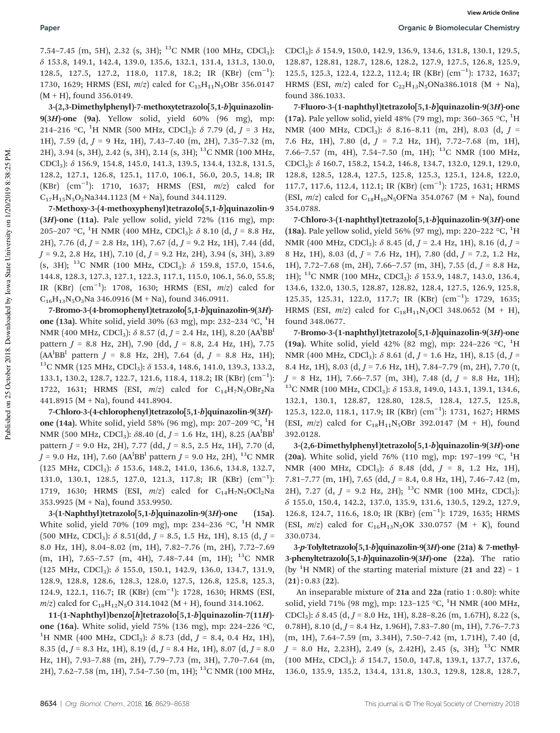7.54–7.45 (m, 5H), 2.32 (s, 3H); <sup>13</sup>C NMR (100 MHz, CDCl<sub>3</sub>): δ 153.8, 149.1, 142.4, 139.0, 135.6, 132.1, 131.4, 131.3, 130.0, 128.5, 127.5, 127.2, 118.0, 117.8, 18.2; IR (KBr) (cm<sup>-1</sup>): 1730, 1629; HRMS (ESI,  $m/z$ ) calcd for C<sub>15</sub>H<sub>11</sub>N<sub>5</sub>OBr 356.0147  $(M + H)$ , found 356.0149.

3-(2,3-Dimethylphenyl)-7-methoxytetrazolo[5,1-b]quinazolin- $9(3H)$ -one (9a). Yellow solid, yield 60% (96 mg), mp: 214–216 °C, <sup>1</sup>H NMR (500 MHz, CDCl<sub>3</sub>):  $\delta$  7.79 (d, *J* = 3 Hz, 1H), 7.59 (d, *J* = 9 Hz, 1H), 7.43–7.40 (m, 2H), 7.35–7.32 (m, 2H), 3.94 (s, 3H), 2.42 (s, 3H), 2.14 (s, 3H); <sup>13</sup>C NMR (100 MHz, CDCl3): δ 156.9, 154.8, 145.0, 141.3, 139.5, 134.4, 132.8, 131.5, 128.2, 127.1, 126.8, 125.1, 117.0, 106.1, 56.0, 20.5, 14.8; IR (KBr) (cm−<sup>1</sup> ): 1710, 1637; HRMS (ESI, *m*/*z*) calcd for  $C_{17}H_{15}N_5O_2Na344.1123 (M + Na)$ , found 344.1129.

7-Methoxy-3-(4-methoxyphenyl)tetrazolo[5,1-b]quinazolin-9  $(3H)$ -one  $(11a)$ . Pale yellow solid, yield 72%  $(116 \text{ mg})$ , mp: 205–207 °C, <sup>1</sup>H NMR (400 MHz, CDCl<sub>3</sub>):  $\delta$  8.10 (d, *J* = 8.8 Hz, 2H), 7.76 (d, *J* = 2.8 Hz, 1H), 7.67 (d, *J* = 9.2 Hz, 1H), 7.44 (dd, *J* = 9.2, 2.8 Hz, 1H), 7.10 (d, *J* = 9.2 Hz, 2H), 3.94 (s, 3H), 3.89 (s, 3H); <sup>13</sup>C NMR (100 MHz, CDCl<sub>3</sub>):  $\delta$  159.8, 157.0, 154.6, 144.8, 128.3, 127.3, 127.1, 122.3, 117.1, 115.0, 106.1, 56.0, 55.8; IR (KBr) (cm−<sup>1</sup> ): 1708, 1630; HRMS (ESI, *m*/*z*) calcd for  $C_{16}H_{13}N_5O_3Na$  346.0916 (M + Na), found 346.0911.

7-Bromo-3-(4-bromophenyl)tetrazolo[5,1-b]quinazolin-9(3H) one (13a). White solid, yield 30% (63 mg), mp: 232-234 °C, <sup>1</sup>H NMR (400 MHz, CDCl<sub>3</sub>): δ 8.57 (d, *J* = 2.4 Hz, 1H), 8.20 (AA<sup>l</sup>BB<sup>1</sup> pattern *J* = 8.8 Hz, 2H), 7.90 (dd, *J* = 8.8, 2.4 Hz, 1H), 7.75 (AA<sup>l</sup> BB<sup>l</sup> pattern *J* = 8.8 Hz, 2H), 7.64 (d, *J* = 8.8 Hz, 1H);  $^{13}$ C NMR (125 MHz, CDCl<sub>3</sub>):  $\delta$  153.4, 148.6, 141.0, 139.3, 133.2, 133.1, 130.2, 128.7, 122.7, 121.6, 118.4, 118.2; IR (KBr) (cm−<sup>1</sup> ): 1722, 1631; HRMS (ESI,  $m/z$ ) calcd for C<sub>14</sub>H<sub>7</sub>N<sub>5</sub>OBr<sub>2</sub>Na 441.8915 (M + Na), found 441.8904.

7-Chloro-3-(4-chlorophenyl)tetrazolo[5,1-b]quinazolin-9(3H) one (14a). White solid, yield 58% (96 mg), mp: 207-209 °C,  $^{1}$ H NMR (500 MHz, CDCl<sub>3</sub>): δ8.40 (d, *J* = 1.6 Hz, 1H), 8.25 (AA<sup>l</sup>BB<sup>l</sup> pattern *J* = 9.0 Hz, 2H), 7.77 (dd, *J* = 8.5, 2.5 Hz, 1H), 7.70 (d, *J* = 9.0 Hz, 1H), 7.60 (AA<sup>l</sup>BB<sup>1</sup> pattern *J* = 9.0 Hz, 2H), <sup>13</sup>C NMR (125 MHz, CDCl3): δ 153.6, 148.2, 141.0, 136.6, 134.8, 132.7, 131.0, 130.1, 128.5, 127.0, 121.3, 117.8; IR (KBr) (cm−<sup>1</sup> ): 1719, 1630; HRMS (ESI,  $m/z$ ) calcd for C<sub>14</sub>H<sub>7</sub>N<sub>5</sub>OCl<sub>2</sub>Na 353.9925 (M + Na), found 353.9950.

3-(1-Naphthyl)tetrazolo[5,1-b]quinazolin-9(3H)-one (15a). White solid, yield 70% (109 mg), mp: 234-236  $\,^{\circ}$ C, <sup>1</sup>H NMR  $(500 \text{ MHz}, \text{CDCl}_3): \delta 8.51(\text{dd}, J = 8.5, 1.5 \text{ Hz}, 1H), 8.15 (\text{d}, J = 1.5 \text{ Hz})$ 8.0 Hz, 1H), 8.04–8.02 (m, 1H), 7.82–7.76 (m, 2H), 7.72–7.69 (m, 1H), 7.65–7.57 (m, 4H), 7.48–7.44 (m, 1H); <sup>13</sup>C NMR (125 MHz, CDCl3): δ 155.0, 150.1, 142.9, 136.0, 134.7, 131.9, 128.9, 128.8, 128.6, 128.3, 128.0, 127.5, 126.8, 125.8, 125.3, 124.9, 122.1, 116.7; IR (KBr) (cm−<sup>1</sup> ): 1728, 1630; HRMS (ESI,  $m/z$  calcd for C<sub>18</sub>H<sub>12</sub>N<sub>5</sub>O 314.1042 (M + H), found 314.1062.

11-(1-Naphthyl)benzo[h]tetrazolo[5,1-b]quinazolin-7(11H) one (16a). White solid, yield 75% (136 mg), mp: 224–226 °C, <sup>1</sup>H NMR (400 MHz, CDCl<sub>3</sub>):  $\delta$  8.73 (dd, *J* = 8.4, 0.4 Hz, 1H), 8.35 (d, *J* = 8.3 Hz, 1H), 8.19 (d, *J* = 8.4 Hz, 1H), 8.07 (d, *J* = 8.0 Hz, 1H), 7.93–7.88 (m, 2H), 7.79–7.73 (m, 3H), 7.70–7.64 (m, 2H), 7.62–7.58 (m, 1H), 7.54–7.50 (m, 1H); <sup>13</sup>C NMR (100 MHz, CDCl3): δ 154.9, 150.0, 142.9, 136.9, 134.6, 131.8, 130.1, 129.5, 128.87, 128.81, 128.7, 128.6, 128.2, 127.9, 127.5, 126.8, 125.9, 125.5, 125.3, 122.4, 122.2, 112.4; IR (KBr) (cm−<sup>1</sup> ): 1732, 1637; HRMS (ESI,  $m/z$ ) calcd for C<sub>22</sub>H<sub>13</sub>N<sub>5</sub>ONa386.1018 (M + Na), found 386.1033.

7-Fluoro-3-(1-naphthyl)tetrazolo[5,1-b]quinazolin-9(3H)-one (17a). Pale yellow solid, yield 48% (79 mg), mp: 360-365 °C, <sup>1</sup>H NMR (400 MHz, CDCl3): δ 8.16–8.11 (m, 2H), 8.03 (d, *J* = 7.6 Hz, 1H), 7.80 (d, *J* = 7.2 Hz, 1H), 7.72–7.68 (m, 1H), 7.66–7.57 (m, 4H), 7.54–7.50 (m, 1H); <sup>13</sup>C NMR (100 MHz, CDCl3): δ 160.7, 158.2, 154.2, 146.8, 134.7, 132.0, 129.1, 129.0, 128.8, 128.5, 128.4, 127.5, 125.8, 125.3, 125.1, 124.8, 122.0, 117.7, 117.6, 112.4, 112.1; IR (KBr) (cm<sup>-1</sup>): 1725, 1631; HRMS (ESI,  $m/z$ ) calcd for  $C_{18}H_{10}N_5$ OFNa 354.0767 (M + Na), found 354.0788.

7-Chloro-3-(1-naphthyl)tetrazolo[5,1-b]quinazolin-9(3H)-one (18a). Pale yellow solid, yield 56% (97 mg), mp: 220–222 °C,  $^{1}$ H NMR (400 MHz, CDCl3): δ 8.45 (d, *J* = 2.4 Hz, 1H), 8.16 (d, *J* = 8 Hz, 1H), 8.03 (d, *J* = 7.6 Hz, 1H), 7.80 (dd, *J* = 7.2, 1.2 Hz, 1H), 7.72–7.68 (m, 2H), 7.66–7.57 (m, 3H), 7.55 (d, *J* = 8.8 Hz, 1H); <sup>13</sup>C NMR (100 MHz, CDCl<sub>3</sub>):  $\delta$  153.9, 148.7, 143.0, 136.4, 134.6, 132.0, 130.5, 128.87, 128.82, 128.4, 127.5, 126.9, 125.8, 125.35, 125.31, 122.0, 117.7; IR (KBr) (cm−<sup>1</sup> ): 1729, 1635; HRMS (ESI,  $m/z$ ) calcd for C<sub>18</sub>H<sub>11</sub>N<sub>5</sub>OCl 348.0652 (M + H), found 348.0677.

7-Bromo-3-(1-naphthyl)tetrazolo[5,1-b]quinazolin-9(3H)-one (19a). White solid, yield 42% (82 mg), mp: 224–226 °C, <sup>1</sup>H NMR (400 MHz, CDCl3): δ 8.61 (d, *J* = 1.6 Hz, 1H), 8.15 (d, *J* = 8.4 Hz, 1H), 8.03 (d, *J* = 7.6 Hz, 1H), 7.84–7.79 (m, 2H), 7.70 (t, *J* = 8 Hz, 1H), 7.66–7.57 (m, 3H), 7.48 (d, *J* = 8.8 Hz, 1H);  $13^{\circ}$ C NMR (100 MHz, CDCl<sub>3</sub>):  $\delta$  153.8, 149.0, 143.1, 139.1, 134.6, 132.1, 130.1, 128.87, 128.80, 128.5, 128.4, 127.5, 125.8, 125.3, 122.0, 118.1, 117.9; IR (KBr) (cm<sup>-1</sup>): 1731, 1627; HRMS (ESI,  $m/z$ ) calcd for  $C_{18}H_{11}N_5$ OBr 392.0147 (M + H), found 392.0128.

3-(2,6-Dimethylphenyl)tetrazolo[5,1-b]quinazolin-9(3H)-one (20a). White solid, yield 76% (110 mg), mp: 197-199 °C, <sup>1</sup>H NMR (400 MHz, CDCl<sub>3</sub>): δ 8.48 (dd, *J* = 8, 1.2 Hz, 1H), 7.81–7.77 (m, 1H), 7.65 (dd, *J* = 8.4, 0.8 Hz, 1H), 7.46–7.42 (m, 2H), 7.27 (d,  $J = 9.2$  Hz, 2H); <sup>13</sup>C NMR (100 MHz, CDCl<sub>3</sub>): δ 155.0, 150.4, 142.2, 137.0, 135.9, 131.6, 130.5, 129.2, 127.9, 126.8, 124.7, 116.6, 18.0; IR (KBr) (cm<sup>-1</sup>): 1729, 1635; HRMS (ESI,  $m/z$ ) calcd for C<sub>16</sub>H<sub>13</sub>N<sub>5</sub>OK 330.0757 (M + K), found 330.0734.

3-p-Tolyltetrazolo[5,1-b]quinazolin-9(3H)-one (21a) & 7-methyl-3-phenyltetrazolo[5,1-b]quinazolin-9(3H)-one (22a). The ratio (by <sup>1</sup>H NMR) of the starting material mixture  $(21 \text{ and } 22)$  – 1  $(21): 0.83 (22).$ 

An inseparable mixture of  $21a$  and  $22a$  (ratio  $1:0.80$ ): white solid, yield 71% (98 mg), mp: 123-125 °C, <sup>1</sup>H NMR (400 MHz, CDCl<sub>3</sub>):  $\delta$  8.45 (d, *J* = 8.0 Hz, 1H), 8.28–8.26 (m, 1.67H), 8.22 (s, 0.78H), 8.10 (d, *J* = 8.4 Hz, 1.96H), 7.83–7.80 (m, 1H), 7.76–7.73 (m, 1H), 7.64–7.59 (m, 3.34H), 7.50–7.42 (m, 1.71H), 7.40 (d,  $J = 8.0$  Hz, 2.23H), 2.49 (s, 2.42H), 2.45 (s, 3H); <sup>13</sup>C NMR  $(100 \text{ MHz}, \text{CDCl}_3)$ :  $\delta$  154.7, 150.0, 147.8, 139.1, 137.7, 137.6, 136.0, 135.9, 135.2, 134.4, 131.8, 130.3, 129.8, 128.8, 128.7,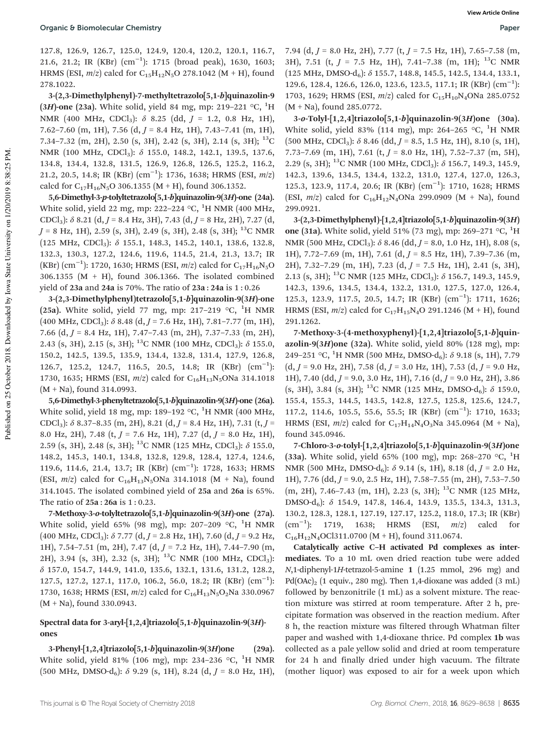127.8, 126.9, 126.7, 125.0, 124.9, 120.4, 120.2, 120.1, 116.7, 21.6, 21.2; IR (KBr) (cm−<sup>1</sup> ): 1715 (broad peak), 1630, 1603; HRMS (ESI,  $m/z$ ) calcd for C<sub>15</sub>H<sub>12</sub>N<sub>5</sub>O 278.1042 (M + H), found 278.1022.

3-(2,3-Dimethylphenyl)-7-methyltetrazolo[5,1-b]quinazolin-9 (3H)-one (23a). White solid, yield 84 mg, mp: 219-221  $\,^{\circ}$ C,  $^{1}$ H NMR (400 MHz, CDCl3): δ 8.25 (dd, *J* = 1.2, 0.8 Hz, 1H), 7.62–7.60 (m, 1H), 7.56 (d, *J* = 8.4 Hz, 1H), 7.43–7.41 (m, 1H), 7.34–7.32 (m, 2H), 2.50 (s, 3H), 2.42 (s, 3H), 2.14 (s, 3H);  $^{13}$ C NMR (100 MHz, CDCl<sub>3</sub>): δ 155.0, 148.2, 142.1, 139.5, 137.6, 134.8, 134.4, 132.8, 131.5, 126.9, 126.8, 126.5, 125.2, 116.2, 21.2, 20.5, 14.8; IR (KBr) (cm−<sup>1</sup> ): 1736, 1638; HRMS (ESI, *m*/*z*) calcd for  $C_{17}H_{16}N_5O$  306.1355 (M + H), found 306.1352.

5,6-Dimethyl-3-p-tolyltetrazolo[5,1-b]quinazolin-9(3H)-one (24a). White solid, yield 22 mg, mp: 222-224  $\,^{\circ}$ C,  $^{1}$ H NMR (400 MHz, CDCl3): δ 8.21 (d, *J* = 8.4 Hz, 3H), 7.43 (d, *J* = 8 Hz, 2H), 7.27 (d,  $J = 8$  Hz, 1H), 2.59 (s, 3H), 2.49 (s, 3H), 2.48 (s, 3H); <sup>13</sup>C NMR (125 MHz, CDCl3): δ 155.1, 148.3, 145.2, 140.1, 138.6, 132.8, 132.3, 130.3, 127.2, 124.6, 119.6, 114.5, 21.4, 21.3, 13.7; IR (KBr) (cm−<sup>1</sup> ): 1720, 1630; HRMS (ESI, *m*/*z*) calcd for C17H16N5O 306.1355 (M + H), found 306.1366. The isolated combined yield of 23a and 24a is 70%. The ratio of 23a : 24a is 1 : 0.26

3-(2,3-Dimethylphenyl)tetrazolo[5,1-b]quinazolin-9(3H)-one (25a). White solid, yield 77 mg, mp: 217-219  $\,^{\circ}$ C,  $^{1}$ H NMR  $(400 \text{ MHz}, \text{CDCl}_3)$ :  $\delta$  8.48  $(d, J = 7.6 \text{ Hz}, 1H)$ , 7.81–7.77 (m, 1H), 7.66 (d, *J* = 8.4 Hz, 1H), 7.47–7.43 (m, 2H), 7.37–7.33 (m, 2H), 2.43 (s, 3H), 2.15 (s, 3H); <sup>13</sup>C NMR (100 MHz, CDCl<sub>3</sub>):  $\delta$  155.0, 150.2, 142.5, 139.5, 135.9, 134.4, 132.8, 131.4, 127.9, 126.8, 126.7, 125.2, 124.7, 116.5, 20.5, 14.8; IR (KBr) (cm<sup>-1</sup>): 1730, 1635; HRMS (ESI,  $m/z$ ) calcd for C<sub>16</sub>H<sub>13</sub>N<sub>5</sub>ONa 314.1018 (M + Na), found 314.0993.

5,6-Dimethyl-3-phenyltetrazolo[5,1-b]quinazolin-9(3H)-one (26a). White solid, yield 18 mg, mp: 189-192  $\rm{^{\circ}C,~^{\prime}H}$  NMR (400 MHz, CDCl3): δ 8.37–8.35 (m, 2H), 8.21 (d, *J* = 8.4 Hz, 1H), 7.31 (t, *J* = 8.0 Hz, 2H), 7.48 (t, *J* = 7.6 Hz, 1H), 7.27 (d, *J* = 8.0 Hz, 1H), 2.59 (s, 3H), 2.48 (s, 3H); <sup>13</sup>C NMR (125 MHz, CDCl<sub>3</sub>):  $\delta$  155.0, 148.2, 145.3, 140.1, 134.8, 132.8, 129.8, 128.4, 127.4, 124.6, 119.6, 114.6, 21.4, 13.7; IR (KBr) (cm−<sup>1</sup> ): 1728, 1633; HRMS (ESI,  $m/z$ ) calcd for C<sub>16</sub>H<sub>13</sub>N<sub>5</sub>ONa 314.1018 (M + Na), found 314.1045. The isolated combined yield of 25a and 26a is 65%. The ratio of 25a : 26a is 1 : 0.23.

7-Methoxy-3-o-tolyltetrazolo[5,1-b]quinazolin-9(3H)-one (27a). White solid, yield 65% (98 mg), mp: 207-209  $\,^{\circ}$ C, <sup>1</sup>H NMR (400 MHz, CDCl3): δ 7.77 (d, *J* = 2.8 Hz, 1H), 7.60 (d, *J* = 9.2 Hz, 1H), 7.54–7.51 (m, 2H), 7.47 (d, *J* = 7.2 Hz, 1H), 7.44–7.90 (m, 2H), 3.94 (s, 3H), 2.32 (s, 3H); <sup>13</sup>C NMR (100 MHz, CDCl<sub>3</sub>): δ 157.0, 154.7, 144.9, 141.0, 135.6, 132.1, 131.6, 131.2, 128.2, 127.5, 127.2, 127.1, 117.0, 106.2, 56.0, 18.2; IR (KBr) (cm<sup>-1</sup>): 1730, 1638; HRMS (ESI,  $m/z$ ) calcd for C<sub>16</sub>H<sub>13</sub>N<sub>5</sub>O<sub>2</sub>Na 330.0967  $(M + Na)$ , found 330.0943.

### Spectral data for 3-aryl-[1,2,4]triazolo[5,1-b]quinazolin-9(3H) ones

3-Phenyl- $[1,2,4]$ triazolo $[5,1-b]$ quinazolin-9 $(3H)$ one (29a). White solid, yield 81% (106 mg), mp: 234-236  $\,^{\circ}$ C, <sup>1</sup>H NMR (500 MHz, DMSO-d<sub>6</sub>):  $\delta$  9.29 (s, 1H), 8.24 (d, *J* = 8.0 Hz, 1H),

7.94 (d, *J* = 8.0 Hz, 2H), 7.77 (t, *J* = 7.5 Hz, 1H), 7.65–7.58 (m, 3H), 7.51 (t,  $J = 7.5$  Hz, 1H), 7.41–7.38 (m, 1H); <sup>13</sup>C NMR  $(125 \text{ MHz}, \text{ DMSO-d}_6)$ :  $\delta$  155.7, 148.8, 145.5, 142.5, 134.4, 133.1, 129.6, 128.4, 126.6, 126.0, 123.6, 123.5, 117.1; IR (KBr) (cm−<sup>1</sup> ): 1703, 1629; HRMS (ESI,  $m/z$ ) calcd for C<sub>15</sub>H<sub>10</sub>N<sub>4</sub>ONa 285.0752 (M + Na), found 285.0772.

3-o-Tolyl-[1,2,4]triazolo[5,1-b]quinazolin-9(3H)one (30a). White solid, yield 83% (114 mg), mp: 264-265 °C, <sup>1</sup>H NMR  $(500 \text{ MHz}, \text{CDCl}_3)$ :  $\delta$  8.46 (dd,  $J = 8.5, 1.5 \text{ Hz}, 1H$ ), 8.10 (s, 1H), 7.73–7.69 (m, 1H), 7.61 (t, *J* = 8.0 Hz, 1H), 7.52–7.37 (m, 5H), 2.29 (s, 3H); <sup>13</sup>C NMR (100 MHz, CDCl<sub>3</sub>):  $\delta$  156.7, 149.3, 145.9, 142.3, 139.6, 134.5, 134.4, 132.2, 131.0, 127.4, 127.0, 126.3, 125.3, 123.9, 117.4, 20.6; IR (KBr) (cm<sup>-1</sup>): 1710, 1628; HRMS (ESI,  $m/z$ ) calcd for C<sub>16</sub>H<sub>12</sub>N<sub>4</sub>ONa 299.0909 (M + Na), found 299.0921.

3-(2,3-Dimethylphenyl)-[1,2,4]triazolo[5,1-b]quinazolin-9(3H) one (31a). White solid, yield 51% (73 mg), mp: 269–271 °C,  $^{1}$ H NMR (500 MHz, CDCl<sub>3</sub>): δ 8.46 (dd, *J* = 8.0, 1.0 Hz, 1H), 8.08 (s, 1H), 7.72–7.69 (m, 1H), 7.61 (d, *J* = 8.5 Hz, 1H), 7.39–7.36 (m, 2H), 7.32–7.29 (m, 1H), 7.23 (d, *J* = 7.5 Hz, 1H), 2.41 (s, 3H), 2.13 (s, 3H); <sup>13</sup>C NMR (125 MHz, CDCl<sub>3</sub>):  $\delta$  156.7, 149.3, 145.9, 142.3, 139.6, 134.5, 134.4, 132.2, 131.0, 127.5, 127.0, 126.4, 125.3, 123.9, 117.5, 20.5, 14.7; IR (KBr) (cm−<sup>1</sup> ): 1711, 1626; HRMS (ESI,  $m/z$ ) calcd for C<sub>17</sub>H<sub>15</sub>N<sub>4</sub>O 291.1246 (M + H), found 291.1262.

7-Methoxy-3-(4-methoxyphenyl)-[1,2,4]triazolo[5,1-b]quinazolin-9(3H)one (32a). White solid, yield 80% (128 mg), mp: 249–251 °C, <sup>1</sup>H NMR (500 MHz, DMSO-d<sub>6</sub>):  $\delta$  9.18 (s, 1H), 7.79  $(d, J = 9.0 \text{ Hz}, 2\text{H}), 7.58 \ (d, J = 3.0 \text{ Hz}, 1\text{H}), 7.53 \ (d, J = 9.0 \text{ Hz},$ 1H), 7.40 (dd, *J* = 9.0, 3.0 Hz, 1H), 7.16 (d, *J* = 9.0 Hz, 2H), 3.86 (s, 3H), 3.84 (s, 3H); <sup>13</sup>C NMR (125 MHz, DMSO-d<sub>6</sub>):  $\delta$  159.0, 155.4, 155.3, 144.5, 143.5, 142.8, 127.5, 125.8, 125.6, 124.7, 117.2, 114.6, 105.5, 55.6, 55.5; IR (KBr) (cm−<sup>1</sup> ): 1710, 1633; HRMS (ESI,  $m/z$ ) calcd for C<sub>17</sub>H<sub>14</sub>N<sub>4</sub>O<sub>3</sub>Na 345.0964 (M + Na), found 345.0946.

7-Chloro-3-o-tolyl-[1,2,4]triazolo[5,1-b]quinazolin-9(3H)one (33a). White solid, yield 65% (100 mg), mp: 268–270 °C, <sup>1</sup>H NMR (500 MHz, DMSO-d<sub>6</sub>):  $\delta$  9.14 (s, 1H), 8.18 (d,  $J = 2.0$  Hz, 1H), 7.76 (dd, *J* = 9.0, 2.5 Hz, 1H), 7.58–7.55 (m, 2H), 7.53–7.50 (m, 2H), 7.46-7.43 (m, 1H), 2.23 (s, 3H); <sup>13</sup>C NMR (125 MHz, DMSO-d6): δ 154.9, 147.8, 146.4, 143.9, 135.5, 134.3, 131.3, 130.2, 128.3, 128.1, 127.19, 127.17, 125.2, 118.0, 17.3; IR (KBr) (cm−<sup>1</sup> ): 1719, 1638; HRMS (ESI, *m*/*z*) calcd for  $C_{16}H_{12}N_4$ OCl311.0700 (M + H), found 311.0674.

Catalytically active C–H activated Pd complexes as intermediates. To a 10 mL oven dried reaction tube were added *N*,1-diphenyl-1*H*-tetrazol-5-amine 1 (1.25 mmol, 296 mg) and Pd(OAc)<sub>2</sub> (1 equiv., 280 mg). Then 1,4-dioxane was added (3 mL) followed by benzonitrile (1 mL) as a solvent mixture. The reaction mixture was stirred at room temperature. After 2 h, precipitate formation was observed in the reaction medium. After 8 h, the reaction mixture was filtered through Whatman filter paper and washed with 1,4-dioxane thrice. Pd complex 1b was collected as a pale yellow solid and dried at room temperature for 24 h and finally dried under high vacuum. The filtrate (mother liquor) was exposed to air for a week upon which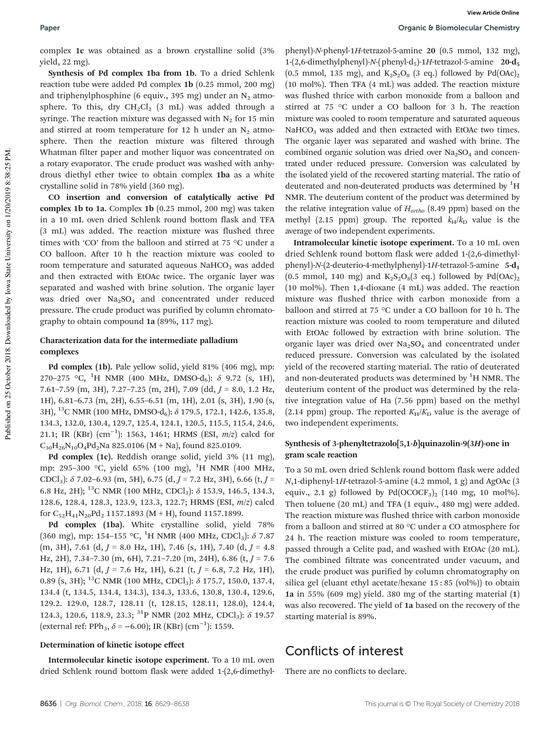Paper **Paper Paper Paper Paper Paper Paper Paper Chemistry Organic & Biomolecular Chemistry** 

complex 1c was obtained as a brown crystalline solid (3% yield, 22 mg).

Synthesis of Pd complex 1ba from 1b. To a dried Schlenk reaction tube were added Pd complex 1b (0.25 mmol, 200 mg) and triphenylphosphine (6 equiv., 395 mg) under an  $N_2$  atmosphere. To this, dry  $CH_2Cl_2$  (3 mL) was added through a syringe. The reaction mixture was degassed with  $N_2$  for 15 min and stirred at room temperature for 12 h under an  $N_2$  atmosphere. Then the reaction mixture was filtered through Whatman filter paper and mother liquor was concentrated on a rotary evaporator. The crude product was washed with anhydrous diethyl ether twice to obtain complex 1ba as a white crystalline solid in 78% yield (360 mg).

CO insertion and conversion of catalytically active Pd complex 1b to 1a. Complex 1b (0.25 mmol, 200 mg) was taken in a 10 mL oven dried Schlenk round bottom flask and TFA (3 mL) was added. The reaction mixture was flushed three times with 'CO' from the balloon and stirred at 75 °C under a CO balloon. After 10 h the reaction mixture was cooled to room temperature and saturated aqueous  $NaHCO<sub>3</sub>$  was added and then extracted with EtOAc twice. The organic layer was separated and washed with brine solution. The organic layer was dried over  $Na<sub>2</sub>SO<sub>4</sub>$  and concentrated under reduced pressure. The crude product was purified by column chromatography to obtain compound 1a (89%, 117 mg).

### Characterization data for the intermediate palladium complexes

Pd complex (1b). Pale yellow solid, yield 81% (406 mg), mp: 270–275 °C, <sup>1</sup>H NMR (400 MHz, DMSO-d<sub>6</sub>):  $\delta$  9.72 (s, 1H), 7.61–7.59 (m, 3H), 7.27–7.25 (m, 2H), 7.09 (dd, *J* = 8.0, 1.2 Hz, 1H), 6.81–6.73 (m, 2H), 6.55–6.51 (m, 1H), 2.01 (s, 3H), 1.90 (s, 3H), <sup>13</sup>C NMR (100 MHz, DMSO-d<sub>6</sub>): δ 179.5, 172.1, 142.6, 135.8, 134.3, 132.0, 130.4, 129.7, 125.4, 124.1, 120.5, 115.5, 115.4, 24.6, 21.1; IR (KBr) (cm−<sup>1</sup> ): 1563, 1461; HRMS (ESI, *m*/*z*) calcd for  $C_{30}H_{26}N_{10}O_4Pd_2Na$  825.0106 (M + Na), found 825.0109.

Pd complex (1c). Reddish orange solid, yield 3% (11 mg), mp: 295–300 °C, yield 65% (100 mg), <sup>1</sup>H NMR (400 MHz, CDCl3): δ 7.02–6.93 (m, 5H), 6.75 (d, *J* = 7.2 Hz, 3H), 6.66 (t, *J* = 6.8 Hz, 2H); <sup>13</sup>C NMR (100 MHz, CDCl<sub>3</sub>):  $\delta$  153.9, 146.5, 134.3, 128.6, 128.4, 128.3, 123.9, 123.3, 122.7; HRMS (ESI, *m*/*z*) calcd for  $C_{52}H_{41}N_{20}Pd_2$  1157.1893 (M + H), found 1157.1899.

Pd complex (1ba). White crystalline solid, yield 78% (360 mg), mp: 154-155 °C, <sup>1</sup>H NMR (400 MHz, CDCl<sub>3</sub>):  $\delta$  7.87 (m, 3H), 7.61 (d, *J* = 8.0 Hz, 1H), 7.46 (s, 1H), 7.40 (d, *J* = 4.8 Hz, 2H), 7.34–7.30 (m, 6H), 7.21–7.20 (m, 24H), 6.86 (t, *J* = 7.6 Hz, 1H), 6.71 (d, *J* = 7.6 Hz, 1H), 6.21 (t, *J* = 6.8, 7.2 Hz, 1H), 0.89 (s, 3H); <sup>13</sup>C NMR (100 MHz, CDCl<sub>3</sub>):  $\delta$  175.7, 150.0, 137.4, 134.4 (t, 134.5, 134.4, 134.3), 134.3, 133.6, 130.8, 130.4, 129.6, 129.2. 129.0, 128.7, 128.11 (t, 128.15, 128.11, 128.0), 124.4, 124.3, 120.6, 118.9, 23.3; <sup>31</sup>P NMR (202 MHz, CDCl<sub>3</sub>):  $\delta$  19.57 (external ref: PPh<sub>3</sub>,  $\delta$  = −6.00); IR (KBr) (cm<sup>-1</sup>): 1559.

### Determination of kinetic isotope effect

Intermolecular kinetic isotope experiment. To a 10 mL oven dried Schlenk round bottom flask were added 1-(2,6-dimethyl-

phenyl)-*N*-phenyl-1*H*-tetrazol-5-amine 20 (0.5 mmol, 132 mg), 1-(2,6-dimethylphenyl)-*N*-(phenyl-d<sub>5</sub>)-1*H*-tetrazol-5-amine 20-d<sub>5</sub> (0.5 mmol, 135 mg), and  $K_2S_2O_8$  (3 eq.) followed by Pd(OAc)<sub>2</sub> (10 mol%). Then TFA (4 mL) was added. The reaction mixture was flushed thrice with carbon monoxide from a balloon and stirred at 75 °C under a CO balloon for 3 h. The reaction mixture was cooled to room temperature and saturated aqueous  $NaHCO<sub>3</sub>$  was added and then extracted with EtOAc two times. The organic layer was separated and washed with brine. The combined organic solution was dried over  $Na<sub>2</sub>SO<sub>4</sub>$  and concentrated under reduced pressure. Conversion was calculated by the isolated yield of the recovered starting material. The ratio of deuterated and non-deuterated products was determined by  ${}^{1}H$ NMR. The deuterium content of the product was determined by the relative integration value of *Hortho* (8.49 ppm) based on the methyl (2.15 ppm) group. The reported  $k_H/k_D$  value is the average of two independent experiments.

Intramolecular kinetic isotope experiment. To a 10 mL oven dried Schlenk round bottom flask were added 1-(2,6-dimethylphenyl)-*N*-(2-deuterio-4-methylphenyl)-1*H*-tetrazol-5-amine 5-d<sub>1</sub> (0.5 mmol, 140 mg) and  $K_2S_2O_8(3 \text{ eq.})$  followed by Pd(OAc)<sub>2</sub> (10 mol%). Then 1,4-dioxane (4 mL) was added. The reaction mixture was flushed thrice with carbon monoxide from a balloon and stirred at 75 °C under a CO balloon for 10 h. The reaction mixture was cooled to room temperature and diluted with EtOAc followed by extraction with brine solution. The organic layer was dried over  $Na<sub>2</sub>SO<sub>4</sub>$  and concentrated under reduced pressure. Conversion was calculated by the isolated yield of the recovered starting material. The ratio of deuterated and non-deuterated products was determined by  ${}^{1}H$  NMR. The deuterium content of the product was determined by the relative integration value of Ha (7.56 ppm) based on the methyl (2.14 ppm) group. The reported  $K_H/K_D$  value is the average of two independent experiments.

### Synthesis of 3-phenyltetrazolo[5,1-b]quinazolin-9(3H)-one in gram scale reaction

To a 50 mL oven dried Schlenk round bottom flask were added *N*,1-diphenyl-1*H*-tetrazol-5-amine (4.2 mmol, 1 g) and AgOAc (3 equiv., 2.1 g) followed by  $Pd(OCOCF<sub>3</sub>)<sub>2</sub>$  (140 mg, 10 mol%). Then toluene (20 mL) and TFA (1 equiv., 480 mg) were added. The reaction mixture was flushed thrice with carbon monoxide from a balloon and stirred at 80 °C under a CO atmosphere for 24 h. The reaction mixture was cooled to room temperature, passed through a Celite pad, and washed with EtOAc (20 mL). The combined filtrate was concentrated under vacuum, and the crude product was purified by column chromatography on silica gel (eluant ethyl acetate/hexane 15 : 85 (vol%)) to obtain 1a in 55% (609 mg) yield. 380 mg of the starting material (1) was also recovered. The yield of 1a based on the recovery of the starting material is 89%.

## Conflicts of interest

There are no conflicts to declare.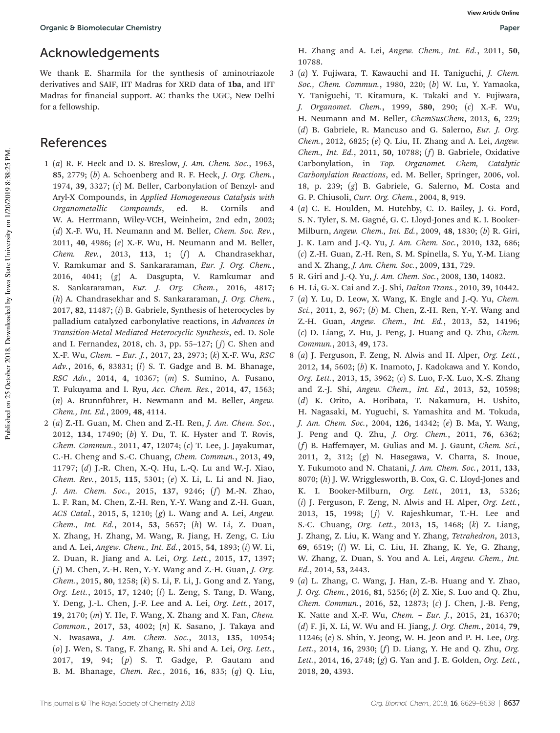## Acknowledgements

We thank E. Sharmila for the synthesis of aminotriazole derivatives and SAIF, IIT Madras for XRD data of 1ba, and IIT Madras for financial support. AC thanks the UGC, New Delhi for a fellowship.

### References

- 1 (*a*) R. F. Heck and D. S. Breslow, *J. Am. Chem. Soc.*, 1963, 85, 2779; (*b*) A. Schoenberg and R. F. Heck, *J. Org. Chem.*, 1974, 39, 3327; (*c*) M. Beller, Carbonylation of Benzyl- and Aryl-X Compounds, in *Applied Homogeneous Catalysis with Organometallic Compounds*, ed. B. Cornils and W. A. Herrmann, Wiley-VCH, Weinheim, 2nd edn, 2002; (*d*) X.-F. Wu, H. Neumann and M. Beller, *Chem. Soc. Rev.*, 2011, 40, 4986; (*e*) X.-F. Wu, H. Neumann and M. Beller, *Chem. Rev.*, 2013, 113, 1; (*f*) A. Chandrasekhar, V. Ramkumar and S. Sankararaman, *Eur. J. Org. Chem.*, 2016, 4041; (*g*) A. Dasgupta, V. Ramkumar and S. Sankararaman, *Eur. J. Org. Chem.*, 2016, 4817; (*h*) A. Chandrasekhar and S. Sankararaman, *J. Org. Chem.*, 2017, 82, 11487; (*i*) B. Gabriele, Synthesis of heterocycles by palladium catalyzed carbonylative reactions, in *Advances in Transition-Metal Mediated Heterocyclic Synthesis*, ed. D. Sole and I. Fernandez, 2018, ch. 3, pp. 55–127; ( *j*) C. Shen and X.-F. Wu, *Chem.* – *Eur. J.*, 2017, 23, 2973; (*k*) X.-F. Wu, *RSC Adv.*, 2016, 6, 83831; (*l*) S. T. Gadge and B. M. Bhanage, *RSC Adv.*, 2014, 4, 10367; (*m*) S. Sumino, A. Fusano, T. Fukuyama and I. Ryu, *Acc. Chem. Res.*, 2014, 47, 1563; (*n*) A. Brunnführer, H. Newmann and M. Beller, *Angew. Chem., Int. Ed.*, 2009, 48, 4114.
- 2 (*a*) Z.-H. Guan, M. Chen and Z.-H. Ren, *J. Am. Chem. Soc.*, 2012, 134, 17490; (*b*) Y. Du, T. K. Hyster and T. Rovis, *Chem. Commun.*, 2011, 47, 12074; (*c*) T. Lee, J. Jayakumar, C.-H. Cheng and S.-C. Chuang, *Chem. Commun.*, 2013, 49, 11797; (*d*) J.-R. Chen, X.-Q. Hu, L.-Q. Lu and W.-J. Xiao, *Chem. Rev.*, 2015, 115, 5301; (*e*) X. Li, L. Li and N. Jiao, *J. Am. Chem. Soc.*, 2015, 137, 9246; (*f*) M.-N. Zhao, L. F. Ran, M. Chen, Z.-H. Ren, Y.-Y. Wang and Z.-H. Guan, *ACS Catal.*, 2015, 5, 1210; (*g*) L. Wang and A. Lei, *Angew. Chem., Int. Ed.*, 2014, 53, 5657; (*h*) W. Li, Z. Duan, X. Zhang, H. Zhang, M. Wang, R. Jiang, H. Zeng, C. Liu and A. Lei, *Angew. Chem., Int. Ed.*, 2015, 54, 1893; (*i*) W. Li, Z. Duan, R. Jiang and A. Lei, *Org. Lett.*, 2015, 17, 1397; ( *j*) M. Chen, Z.-H. Ren, Y.-Y. Wang and Z.-H. Guan, *J. Org. Chem.*, 2015, 80, 1258; (*k*) S. Li, F. Li, J. Gong and Z. Yang, *Org. Lett.*, 2015, 17, 1240; (*l*) L. Zeng, S. Tang, D. Wang, Y. Deng, J.-L. Chen, J.-F. Lee and A. Lei, *Org. Lett.*, 2017, 19, 2170; (*m*) Y. He, F. Wang, X. Zhang and X. Fan, *Chem. Common.*, 2017, 53, 4002; (*n*) K. Sasano, J. Takaya and N. Iwasawa, *J. Am. Chem. Soc.*, 2013, 135, 10954; (*o*) J. Wen, S. Tang, F. Zhang, R. Shi and A. Lei, *Org. Lett.*, 2017, 19, 94; (*p*) S. T. Gadge, P. Gautam and B. M. Bhanage, *Chem. Rec.*, 2016, 16, 835; (*q*) Q. Liu,

H. Zhang and A. Lei, *Angew. Chem., Int. Ed.*, 2011, 50, 10788.

- 3 (*a*) Y. Fujiwara, T. Kawauchi and H. Taniguchi, *J. Chem. Soc., Chem. Commun.*, 1980, 220; (*b*) W. Lu, Y. Yamaoka, Y. Taniguchi, T. Kitamura, K. Takaki and Y. Fujiwara, *J. Organomet. Chem.*, 1999, 580, 290; (*c*) X.-F. Wu, H. Neumann and M. Beller, *ChemSusChem*, 2013, 6, 229; (*d*) B. Gabriele, R. Mancuso and G. Salerno, *Eur. J. Org. Chem.*, 2012, 6825; (*e*) Q. Liu, H. Zhang and A. Lei, *Angew. Chem., Int. Ed.*, 2011, 50, 10788; (*f*) B. Gabriele, Oxidative Carbonylation, in *Top. Organomet. Chem, Catalytic Carbonylation Reactions*, ed. M. Beller, Springer, 2006, vol. 18, p. 239; (*g*) B. Gabriele, G. Salerno, M. Costa and G. P. Chiusoli, *Curr. Org. Chem.*, 2004, 8, 919.
- 4 (*a*) C. E. Houlden, M. Hutchby, C. D. Bailey, J. G. Ford, S. N. Tyler, S. M. Gagné, G. C. Lloyd-Jones and K. I. Booker-Milburn, *Angew. Chem., Int. Ed.*, 2009, 48, 1830; (*b*) R. Giri, J. K. Lam and J.-Q. Yu, *J. Am. Chem. Soc.*, 2010, 132, 686; (*c*) Z.-H. Guan, Z.-H. Ren, S. M. Spinella, S. Yu, Y.-M. Liang and X. Zhang, *J. Am. Chem. Soc.*, 2009, 131, 729.
- 5 R. Giri and J.-Q. Yu, *J. Am. Chem. Soc.*, 2008, 130, 14082.
- 6 H. Li, G.-X. Cai and Z.-J. Shi, *Dalton Trans.*, 2010, 39, 10442.
- 7 (*a*) Y. Lu, D. Leow, X. Wang, K. Engle and J.-Q. Yu, *Chem. Sci.*, 2011, 2, 967; (*b*) M. Chen, Z.-H. Ren, Y.-Y. Wang and Z.-H. Guan, *Angew. Chem., Int. Ed.*, 2013, 52, 14196; (*c*) D. Liang, Z. Hu, J. Peng, J. Huang and Q. Zhu, *Chem. Commun.*, 2013, 49, 173.
- 8 (*a*) J. Ferguson, F. Zeng, N. Alwis and H. Alper, *Org. Lett.*, 2012, 14, 5602; (*b*) K. Inamoto, J. Kadokawa and Y. Kondo, *Org. Lett.*, 2013, 15, 3962; (*c*) S. Luo, F.-X. Luo, X.-S. Zhang and Z.-J. Shi, *Angew. Chem., Int. Ed.*, 2013, 52, 10598; (*d*) K. Orito, A. Horibata, T. Nakamura, H. Ushito, H. Nagasaki, M. Yuguchi, S. Yamashita and M. Tokuda, *J. Am. Chem. Soc.*, 2004, 126, 14342; (*e*) B. Ma, Y. Wang, J. Peng and Q. Zhu, *J. Org. Chem.*, 2011, 76, 6362; (*f*) B. Haffemayer, M. Gulias and M. J. Gaunt, *Chem. Sci.*, 2011, 2, 312; (*g*) N. Hasegawa, V. Charra, S. Inoue, Y. Fukumoto and N. Chatani, *J. Am. Chem. Soc.*, 2011, 133, 8070; (*h*) J. W. Wrigglesworth, B. Cox, G. C. Lloyd-Jones and K. I. Booker-Milburn, *Org. Lett.*, 2011, 13, 5326; (*i*) J. Ferguson, F. Zeng, N. Alwis and H. Alper, *Org. Lett.*, 2013, 15, 1998; (*j*) V. Rajeshkumar, T.-H. Lee and S.-C. Chuang, *Org. Lett.*, 2013, 15, 1468; (*k*) Z. Liang, J. Zhang, Z. Liu, K. Wang and Y. Zhang, *Tetrahedron*, 2013, 69, 6519; (*l*) W. Li, C. Liu, H. Zhang, K. Ye, G. Zhang, W. Zhang, Z. Duan, S. You and A. Lei, *Angew. Chem., Int. Ed.*, 2014, 53, 2443.
- 9 (*a*) L. Zhang, C. Wang, J. Han, Z.-B. Huang and Y. Zhao, *J. Org. Chem.*, 2016, 81, 5256; (*b*) Z. Xie, S. Luo and Q. Zhu, *Chem. Commun.*, 2016, 52, 12873; (*c*) J. Chen, J.-B. Feng, K. Natte and X.-F. Wu, *Chem.* – *Eur. J.*, 2015, 21, 16370; (*d*) F. Ji, X. Li, W. Wu and H. Jiang, *J. Org. Chem.*, 2014, 79, 11246; (*e*) S. Shin, Y. Jeong, W. H. Jeon and P. H. Lee, *Org. Lett.*, 2014, 16, 2930; (*f*) D. Liang, Y. He and Q. Zhu, *Org. Lett.*, 2014, 16, 2748; (*g*) G. Yan and J. E. Golden, *Org. Lett.*, 2018, 20, 4393.